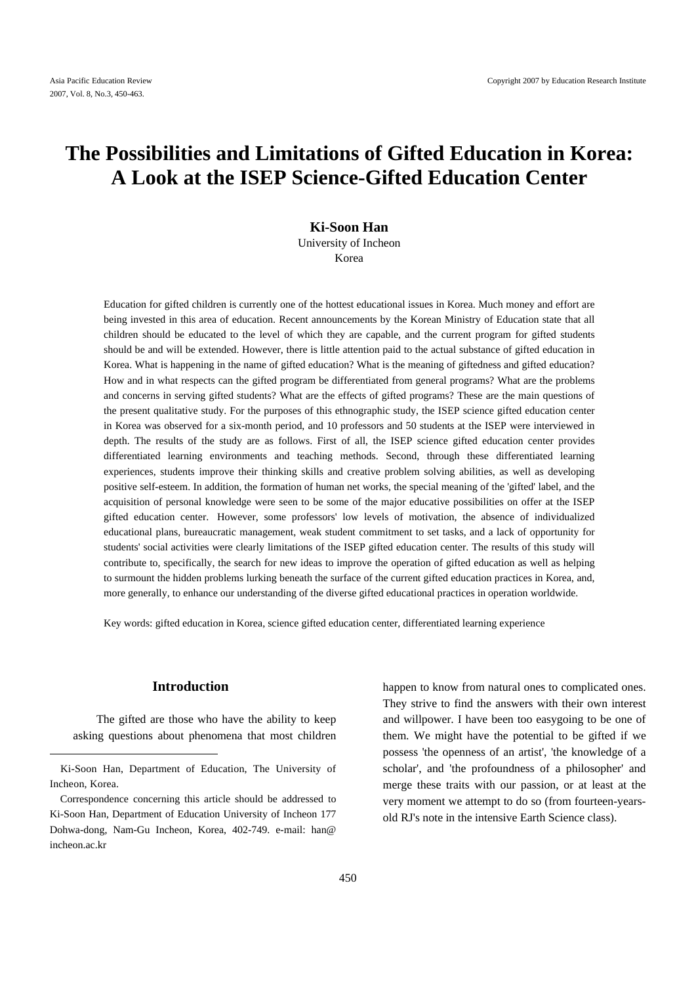# **The Possibilities and Limitations of Gifted Education in Korea: A Look at the ISEP Science-Gifted Education Center**

# **Ki-Soon Han**  University of Incheon Korea

Education for gifted children is currently one of the hottest educational issues in Korea. Much money and effort are being invested in this area of education. Recent announcements by the Korean Ministry of Education state that all children should be educated to the level of which they are capable, and the current program for gifted students should be and will be extended. However, there is little attention paid to the actual substance of gifted education in Korea. What is happening in the name of gifted education? What is the meaning of giftedness and gifted education? How and in what respects can the gifted program be differentiated from general programs? What are the problems and concerns in serving gifted students? What are the effects of gifted programs? These are the main questions of the present qualitative study. For the purposes of this ethnographic study, the ISEP science gifted education center in Korea was observed for a six-month period, and 10 professors and 50 students at the ISEP were interviewed in depth. The results of the study are as follows. First of all, the ISEP science gifted education center provides differentiated learning environments and teaching methods. Second, through these differentiated learning experiences, students improve their thinking skills and creative problem solving abilities, as well as developing positive self-esteem. In addition, the formation of human net works, the special meaning of the 'gifted' label, and the acquisition of personal knowledge were seen to be some of the major educative possibilities on offer at the ISEP gifted education center. However, some professors' low levels of motivation, the absence of individualized educational plans, bureaucratic management, weak student commitment to set tasks, and a lack of opportunity for students' social activities were clearly limitations of the ISEP gifted education center. The results of this study will contribute to, specifically, the search for new ideas to improve the operation of gifted education as well as helping to surmount the hidden problems lurking beneath the surface of the current gifted education practices in Korea, and, more generally, to enhance our understanding of the diverse gifted educational practices in operation worldwide.

Key words: gifted education in Korea, science gifted education center, differentiated learning experience

# **Introduction**

The gifted are those who have the ability to keep asking questions about phenomena that most children

happen to know from natural ones to complicated ones. They strive to find the answers with their own interest and willpower. I have been too easygoing to be one of them. We might have the potential to be gifted if we possess 'the openness of an artist', 'the knowledge of a scholar', and 'the profoundness of a philosopher' and merge these traits with our passion, or at least at the very moment we attempt to do so (from fourteen-yearsold RJ's note in the intensive Earth Science class).

Ki-Soon Han, Department of Education, The University of Incheon, Korea.

Correspondence concerning this article should be addressed to Ki-Soon Han, Department of Education University of Incheon 177 Dohwa-dong, Nam-Gu Incheon, Korea, 402-749. e-mail: han@ incheon.ac.kr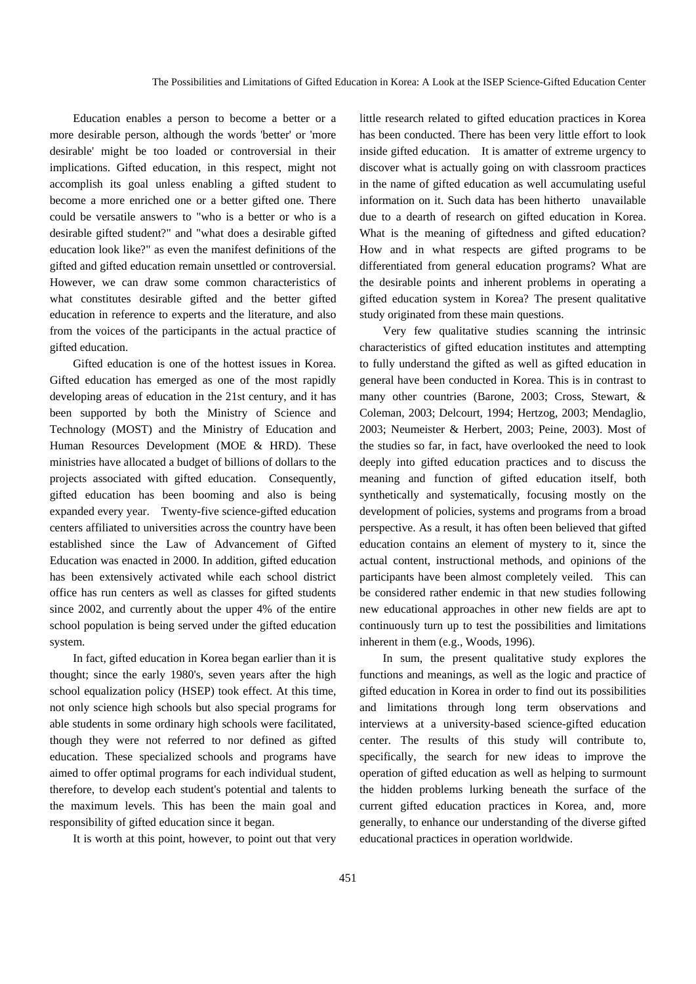Education enables a person to become a better or a more desirable person, although the words 'better' or 'more desirable' might be too loaded or controversial in their implications. Gifted education, in this respect, might not accomplish its goal unless enabling a gifted student to become a more enriched one or a better gifted one. There could be versatile answers to "who is a better or who is a desirable gifted student?" and "what does a desirable gifted education look like?" as even the manifest definitions of the gifted and gifted education remain unsettled or controversial. However, we can draw some common characteristics of what constitutes desirable gifted and the better gifted education in reference to experts and the literature, and also from the voices of the participants in the actual practice of gifted education.

Gifted education is one of the hottest issues in Korea. Gifted education has emerged as one of the most rapidly developing areas of education in the 21st century, and it has been supported by both the Ministry of Science and Technology (MOST) and the Ministry of Education and Human Resources Development (MOE & HRD). These ministries have allocated a budget of billions of dollars to the projects associated with gifted education. Consequently, gifted education has been booming and also is being expanded every year. Twenty-five science-gifted education centers affiliated to universities across the country have been established since the Law of Advancement of Gifted Education was enacted in 2000. In addition, gifted education has been extensively activated while each school district office has run centers as well as classes for gifted students since 2002, and currently about the upper 4% of the entire school population is being served under the gifted education system.

In fact, gifted education in Korea began earlier than it is thought; since the early 1980's, seven years after the high school equalization policy (HSEP) took effect. At this time, not only science high schools but also special programs for able students in some ordinary high schools were facilitated, though they were not referred to nor defined as gifted education. These specialized schools and programs have aimed to offer optimal programs for each individual student, therefore, to develop each student's potential and talents to the maximum levels. This has been the main goal and responsibility of gifted education since it began.

It is worth at this point, however, to point out that very

little research related to gifted education practices in Korea has been conducted. There has been very little effort to look inside gifted education. It is amatter of extreme urgency to discover what is actually going on with classroom practices in the name of gifted education as well accumulating useful information on it. Such data has been hitherto unavailable due to a dearth of research on gifted education in Korea. What is the meaning of giftedness and gifted education? How and in what respects are gifted programs to be differentiated from general education programs? What are the desirable points and inherent problems in operating a gifted education system in Korea? The present qualitative study originated from these main questions.

Very few qualitative studies scanning the intrinsic characteristics of gifted education institutes and attempting to fully understand the gifted as well as gifted education in general have been conducted in Korea. This is in contrast to many other countries (Barone, 2003; Cross, Stewart, & Coleman, 2003; Delcourt, 1994; Hertzog, 2003; Mendaglio, 2003; Neumeister & Herbert, 2003; Peine, 2003). Most of the studies so far, in fact, have overlooked the need to look deeply into gifted education practices and to discuss the meaning and function of gifted education itself, both synthetically and systematically, focusing mostly on the development of policies, systems and programs from a broad perspective. As a result, it has often been believed that gifted education contains an element of mystery to it, since the actual content, instructional methods, and opinions of the participants have been almost completely veiled. This can be considered rather endemic in that new studies following new educational approaches in other new fields are apt to continuously turn up to test the possibilities and limitations inherent in them (e.g., Woods, 1996).

In sum, the present qualitative study explores the functions and meanings, as well as the logic and practice of gifted education in Korea in order to find out its possibilities and limitations through long term observations and interviews at a university-based science-gifted education center. The results of this study will contribute to, specifically, the search for new ideas to improve the operation of gifted education as well as helping to surmount the hidden problems lurking beneath the surface of the current gifted education practices in Korea, and, more generally, to enhance our understanding of the diverse gifted educational practices in operation worldwide.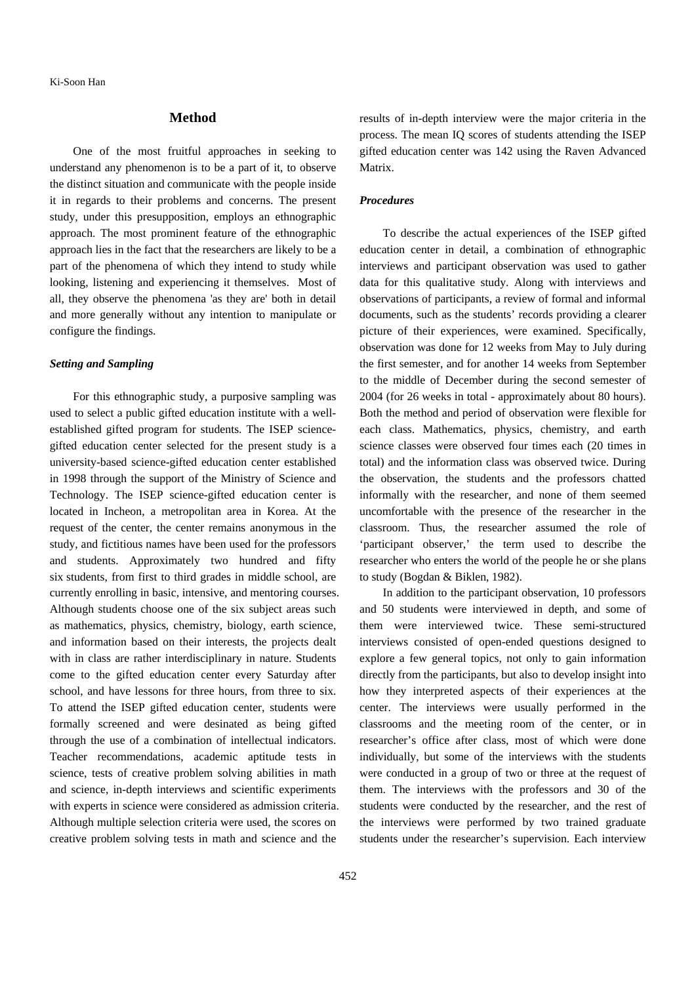#### **Method**

One of the most fruitful approaches in seeking to understand any phenomenon is to be a part of it, to observe the distinct situation and communicate with the people inside it in regards to their problems and concerns. The present study, under this presupposition, employs an ethnographic approach. The most prominent feature of the ethnographic approach lies in the fact that the researchers are likely to be a part of the phenomena of which they intend to study while looking, listening and experiencing it themselves. Most of all, they observe the phenomena 'as they are' both in detail and more generally without any intention to manipulate or configure the findings.

## *Setting and Sampling*

For this ethnographic study, a purposive sampling was used to select a public gifted education institute with a wellestablished gifted program for students. The ISEP sciencegifted education center selected for the present study is a university-based science-gifted education center established in 1998 through the support of the Ministry of Science and Technology. The ISEP science-gifted education center is located in Incheon, a metropolitan area in Korea. At the request of the center, the center remains anonymous in the study, and fictitious names have been used for the professors and students. Approximately two hundred and fifty six students, from first to third grades in middle school, are currently enrolling in basic, intensive, and mentoring courses. Although students choose one of the six subject areas such as mathematics, physics, chemistry, biology, earth science, and information based on their interests, the projects dealt with in class are rather interdisciplinary in nature. Students come to the gifted education center every Saturday after school, and have lessons for three hours, from three to six. To attend the ISEP gifted education center, students were formally screened and were desinated as being gifted through the use of a combination of intellectual indicators. Teacher recommendations, academic aptitude tests in science, tests of creative problem solving abilities in math and science, in-depth interviews and scientific experiments with experts in science were considered as admission criteria. Although multiple selection criteria were used, the scores on creative problem solving tests in math and science and the

results of in-depth interview were the major criteria in the process. The mean IQ scores of students attending the ISEP gifted education center was 142 using the Raven Advanced Matrix.

### *Procedures*

To describe the actual experiences of the ISEP gifted education center in detail, a combination of ethnographic interviews and participant observation was used to gather data for this qualitative study. Along with interviews and observations of participants, a review of formal and informal documents, such as the students' records providing a clearer picture of their experiences, were examined. Specifically, observation was done for 12 weeks from May to July during the first semester, and for another 14 weeks from September to the middle of December during the second semester of 2004 (for 26 weeks in total - approximately about 80 hours). Both the method and period of observation were flexible for each class. Mathematics, physics, chemistry, and earth science classes were observed four times each (20 times in total) and the information class was observed twice. During the observation, the students and the professors chatted informally with the researcher, and none of them seemed uncomfortable with the presence of the researcher in the classroom. Thus, the researcher assumed the role of 'participant observer,' the term used to describe the researcher who enters the world of the people he or she plans to study (Bogdan & Biklen, 1982).

In addition to the participant observation, 10 professors and 50 students were interviewed in depth, and some of them were interviewed twice. These semi-structured interviews consisted of open-ended questions designed to explore a few general topics, not only to gain information directly from the participants, but also to develop insight into how they interpreted aspects of their experiences at the center. The interviews were usually performed in the classrooms and the meeting room of the center, or in researcher's office after class, most of which were done individually, but some of the interviews with the students were conducted in a group of two or three at the request of them. The interviews with the professors and 30 of the students were conducted by the researcher, and the rest of the interviews were performed by two trained graduate students under the researcher's supervision. Each interview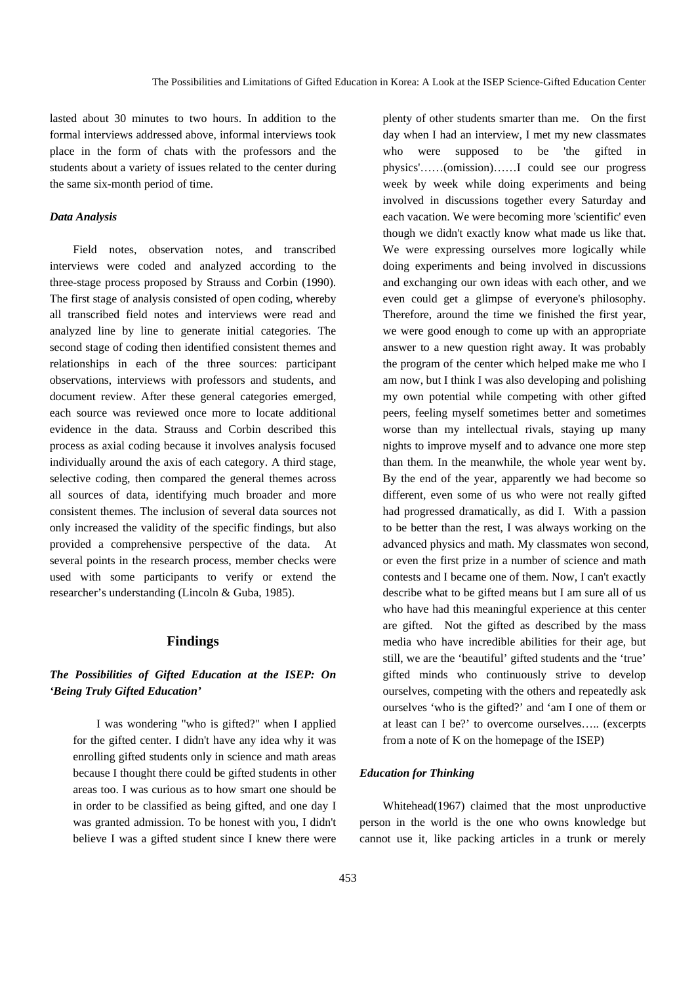lasted about 30 minutes to two hours. In addition to the formal interviews addressed above, informal interviews took place in the form of chats with the professors and the students about a variety of issues related to the center during the same six-month period of time.

## *Data Analysis*

Field notes, observation notes, and transcribed interviews were coded and analyzed according to the three-stage process proposed by Strauss and Corbin (1990). The first stage of analysis consisted of open coding, whereby all transcribed field notes and interviews were read and analyzed line by line to generate initial categories. The second stage of coding then identified consistent themes and relationships in each of the three sources: participant observations, interviews with professors and students, and document review. After these general categories emerged, each source was reviewed once more to locate additional evidence in the data. Strauss and Corbin described this process as axial coding because it involves analysis focused individually around the axis of each category. A third stage, selective coding, then compared the general themes across all sources of data, identifying much broader and more consistent themes. The inclusion of several data sources not only increased the validity of the specific findings, but also provided a comprehensive perspective of the data. At several points in the research process, member checks were used with some participants to verify or extend the researcher's understanding (Lincoln & Guba, 1985).

#### **Findings**

# *The Possibilities of Gifted Education at the ISEP: On 'Being Truly Gifted Education'*

I was wondering "who is gifted?" when I applied for the gifted center. I didn't have any idea why it was enrolling gifted students only in science and math areas because I thought there could be gifted students in other areas too. I was curious as to how smart one should be in order to be classified as being gifted, and one day I was granted admission. To be honest with you, I didn't believe I was a gifted student since I knew there were

plenty of other students smarter than me. On the first day when I had an interview, I met my new classmates who were supposed to be 'the gifted in physics'……(omission)……I could see our progress week by week while doing experiments and being involved in discussions together every Saturday and each vacation. We were becoming more 'scientific' even though we didn't exactly know what made us like that. We were expressing ourselves more logically while doing experiments and being involved in discussions and exchanging our own ideas with each other, and we even could get a glimpse of everyone's philosophy. Therefore, around the time we finished the first year, we were good enough to come up with an appropriate answer to a new question right away. It was probably the program of the center which helped make me who I am now, but I think I was also developing and polishing my own potential while competing with other gifted peers, feeling myself sometimes better and sometimes worse than my intellectual rivals, staying up many nights to improve myself and to advance one more step than them. In the meanwhile, the whole year went by. By the end of the year, apparently we had become so different, even some of us who were not really gifted had progressed dramatically, as did I. With a passion to be better than the rest, I was always working on the advanced physics and math. My classmates won second, or even the first prize in a number of science and math contests and I became one of them. Now, I can't exactly describe what to be gifted means but I am sure all of us who have had this meaningful experience at this center are gifted. Not the gifted as described by the mass media who have incredible abilities for their age, but still, we are the 'beautiful' gifted students and the 'true' gifted minds who continuously strive to develop ourselves, competing with the others and repeatedly ask ourselves 'who is the gifted?' and 'am I one of them or at least can I be?' to overcome ourselves….. (excerpts from a note of K on the homepage of the ISEP)

## *Education for Thinking*

Whitehead(1967) claimed that the most unproductive person in the world is the one who owns knowledge but cannot use it, like packing articles in a trunk or merely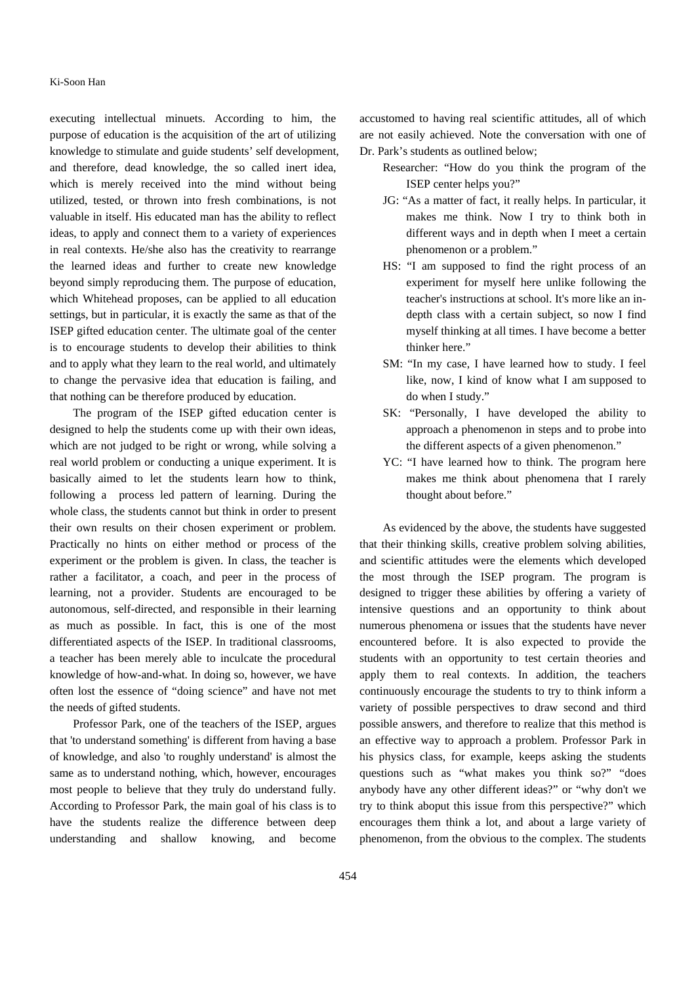## Ki-Soon Han

executing intellectual minuets. According to him, the purpose of education is the acquisition of the art of utilizing knowledge to stimulate and guide students' self development, and therefore, dead knowledge, the so called inert idea, which is merely received into the mind without being utilized, tested, or thrown into fresh combinations, is not valuable in itself. His educated man has the ability to reflect ideas, to apply and connect them to a variety of experiences in real contexts. He/she also has the creativity to rearrange the learned ideas and further to create new knowledge beyond simply reproducing them. The purpose of education, which Whitehead proposes, can be applied to all education settings, but in particular, it is exactly the same as that of the ISEP gifted education center. The ultimate goal of the center is to encourage students to develop their abilities to think and to apply what they learn to the real world, and ultimately to change the pervasive idea that education is failing, and that nothing can be therefore produced by education.

The program of the ISEP gifted education center is designed to help the students come up with their own ideas, which are not judged to be right or wrong, while solving a real world problem or conducting a unique experiment. It is basically aimed to let the students learn how to think, following a process led pattern of learning. During the whole class, the students cannot but think in order to present their own results on their chosen experiment or problem. Practically no hints on either method or process of the experiment or the problem is given. In class, the teacher is rather a facilitator, a coach, and peer in the process of learning, not a provider. Students are encouraged to be autonomous, self-directed, and responsible in their learning as much as possible. In fact, this is one of the most differentiated aspects of the ISEP. In traditional classrooms, a teacher has been merely able to inculcate the procedural knowledge of how-and-what. In doing so, however, we have often lost the essence of "doing science" and have not met the needs of gifted students.

Professor Park, one of the teachers of the ISEP, argues that 'to understand something' is different from having a base of knowledge, and also 'to roughly understand' is almost the same as to understand nothing, which, however, encourages most people to believe that they truly do understand fully. According to Professor Park, the main goal of his class is to have the students realize the difference between deep understanding and shallow knowing, and become

accustomed to having real scientific attitudes, all of which are not easily achieved. Note the conversation with one of Dr. Park's students as outlined below;

Researcher: "How do you think the program of the ISEP center helps you?"

- JG: "As a matter of fact, it really helps. In particular, it makes me think. Now I try to think both in different ways and in depth when I meet a certain phenomenon or a problem."
- HS: "I am supposed to find the right process of an experiment for myself here unlike following the teacher's instructions at school. It's more like an indepth class with a certain subject, so now I find myself thinking at all times. I have become a better thinker here."
- SM: "In my case, I have learned how to study. I feel like, now, I kind of know what I am supposed to do when I study."
- SK: "Personally, I have developed the ability to approach a phenomenon in steps and to probe into the different aspects of a given phenomenon."
- YC: "I have learned how to think. The program here makes me think about phenomena that I rarely thought about before."

As evidenced by the above, the students have suggested that their thinking skills, creative problem solving abilities, and scientific attitudes were the elements which developed the most through the ISEP program. The program is designed to trigger these abilities by offering a variety of intensive questions and an opportunity to think about numerous phenomena or issues that the students have never encountered before. It is also expected to provide the students with an opportunity to test certain theories and apply them to real contexts. In addition, the teachers continuously encourage the students to try to think inform a variety of possible perspectives to draw second and third possible answers, and therefore to realize that this method is an effective way to approach a problem. Professor Park in his physics class, for example, keeps asking the students questions such as "what makes you think so?" "does anybody have any other different ideas?" or "why don't we try to think aboput this issue from this perspective?" which encourages them think a lot, and about a large variety of phenomenon, from the obvious to the complex. The students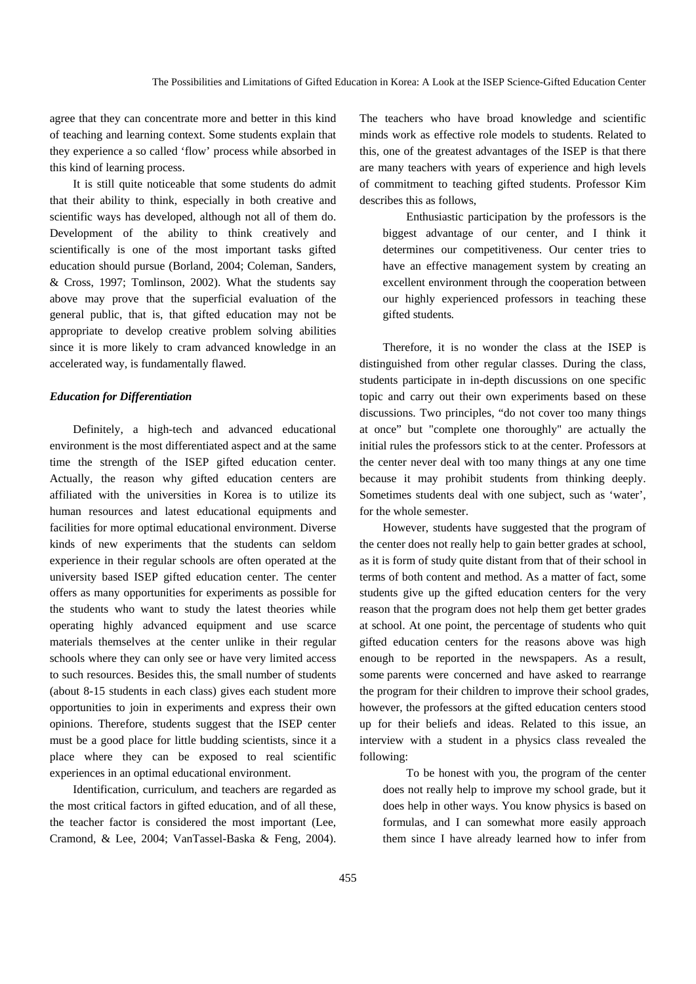agree that they can concentrate more and better in this kind of teaching and learning context. Some students explain that they experience a so called 'flow' process while absorbed in this kind of learning process.

It is still quite noticeable that some students do admit that their ability to think, especially in both creative and scientific ways has developed, although not all of them do. Development of the ability to think creatively and scientifically is one of the most important tasks gifted education should pursue (Borland, 2004; Coleman, Sanders, & Cross, 1997; Tomlinson, 2002). What the students say above may prove that the superficial evaluation of the general public, that is, that gifted education may not be appropriate to develop creative problem solving abilities since it is more likely to cram advanced knowledge in an accelerated way, is fundamentally flawed.

### *Education for Differentiation*

Definitely, a high-tech and advanced educational environment is the most differentiated aspect and at the same time the strength of the ISEP gifted education center. Actually, the reason why gifted education centers are affiliated with the universities in Korea is to utilize its human resources and latest educational equipments and facilities for more optimal educational environment. Diverse kinds of new experiments that the students can seldom experience in their regular schools are often operated at the university based ISEP gifted education center. The center offers as many opportunities for experiments as possible for the students who want to study the latest theories while operating highly advanced equipment and use scarce materials themselves at the center unlike in their regular schools where they can only see or have very limited access to such resources. Besides this, the small number of students (about 8-15 students in each class) gives each student more opportunities to join in experiments and express their own opinions. Therefore, students suggest that the ISEP center must be a good place for little budding scientists, since it a place where they can be exposed to real scientific experiences in an optimal educational environment.

Identification, curriculum, and teachers are regarded as the most critical factors in gifted education, and of all these, the teacher factor is considered the most important (Lee, Cramond, & Lee, 2004; VanTassel-Baska & Feng, 2004).

The teachers who have broad knowledge and scientific minds work as effective role models to students. Related to this, one of the greatest advantages of the ISEP is that there are many teachers with years of experience and high levels of commitment to teaching gifted students. Professor Kim describes this as follows,

Enthusiastic participation by the professors is the biggest advantage of our center, and I think it determines our competitiveness. Our center tries to have an effective management system by creating an excellent environment through the cooperation between our highly experienced professors in teaching these gifted students*.*

Therefore, it is no wonder the class at the ISEP is distinguished from other regular classes. During the class, students participate in in-depth discussions on one specific topic and carry out their own experiments based on these discussions. Two principles, "do not cover too many things at once" but "complete one thoroughly" are actually the initial rules the professors stick to at the center. Professors at the center never deal with too many things at any one time because it may prohibit students from thinking deeply. Sometimes students deal with one subject, such as 'water', for the whole semester.

However, students have suggested that the program of the center does not really help to gain better grades at school, as it is form of study quite distant from that of their school in terms of both content and method. As a matter of fact, some students give up the gifted education centers for the very reason that the program does not help them get better grades at school. At one point, the percentage of students who quit gifted education centers for the reasons above was high enough to be reported in the newspapers. As a result, some parents were concerned and have asked to rearrange the program for their children to improve their school grades, however, the professors at the gifted education centers stood up for their beliefs and ideas. Related to this issue, an interview with a student in a physics class revealed the following:

To be honest with you, the program of the center does not really help to improve my school grade, but it does help in other ways. You know physics is based on formulas, and I can somewhat more easily approach them since I have already learned how to infer from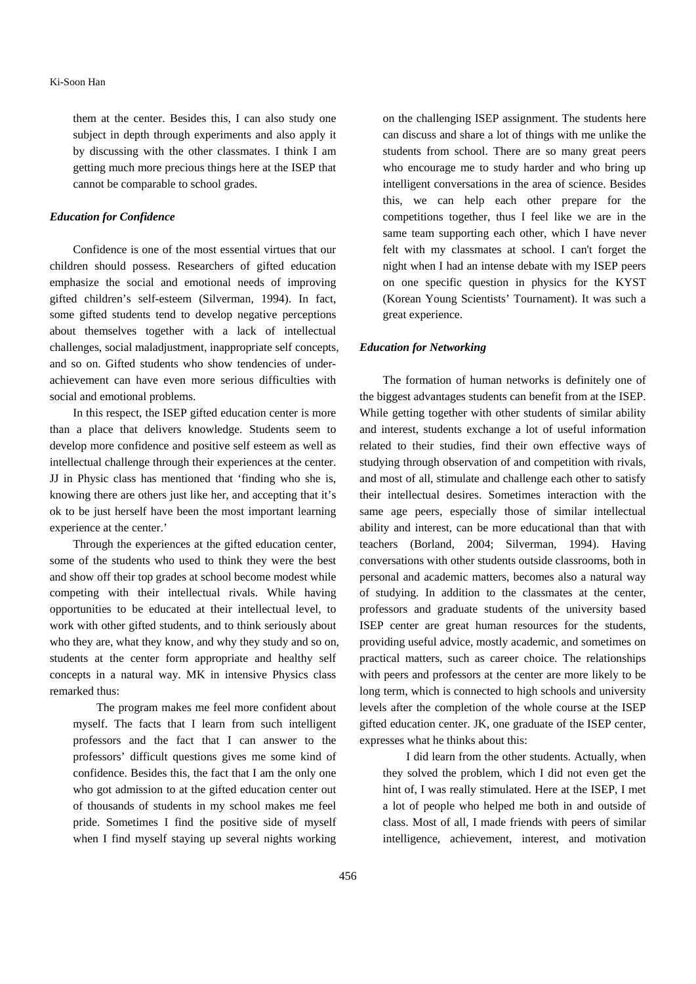them at the center. Besides this, I can also study one subject in depth through experiments and also apply it by discussing with the other classmates. I think I am getting much more precious things here at the ISEP that cannot be comparable to school grades.

#### *Education for Confidence*

Confidence is one of the most essential virtues that our children should possess. Researchers of gifted education emphasize the social and emotional needs of improving gifted children's self-esteem (Silverman, 1994). In fact, some gifted students tend to develop negative perceptions about themselves together with a lack of intellectual challenges, social maladjustment, inappropriate self concepts, and so on. Gifted students who show tendencies of underachievement can have even more serious difficulties with social and emotional problems.

In this respect, the ISEP gifted education center is more than a place that delivers knowledge. Students seem to develop more confidence and positive self esteem as well as intellectual challenge through their experiences at the center. JJ in Physic class has mentioned that 'finding who she is, knowing there are others just like her, and accepting that it's ok to be just herself have been the most important learning experience at the center.'

Through the experiences at the gifted education center, some of the students who used to think they were the best and show off their top grades at school become modest while competing with their intellectual rivals. While having opportunities to be educated at their intellectual level, to work with other gifted students, and to think seriously about who they are, what they know, and why they study and so on, students at the center form appropriate and healthy self concepts in a natural way. MK in intensive Physics class remarked thus:

The program makes me feel more confident about myself. The facts that I learn from such intelligent professors and the fact that I can answer to the professors' difficult questions gives me some kind of confidence. Besides this, the fact that I am the only one who got admission to at the gifted education center out of thousands of students in my school makes me feel pride. Sometimes I find the positive side of myself when I find myself staying up several nights working

on the challenging ISEP assignment. The students here can discuss and share a lot of things with me unlike the students from school. There are so many great peers who encourage me to study harder and who bring up intelligent conversations in the area of science. Besides this, we can help each other prepare for the competitions together, thus I feel like we are in the same team supporting each other, which I have never felt with my classmates at school. I can't forget the night when I had an intense debate with my ISEP peers on one specific question in physics for the KYST (Korean Young Scientists' Tournament). It was such a great experience.

#### *Education for Networking*

The formation of human networks is definitely one of the biggest advantages students can benefit from at the ISEP. While getting together with other students of similar ability and interest, students exchange a lot of useful information related to their studies, find their own effective ways of studying through observation of and competition with rivals, and most of all, stimulate and challenge each other to satisfy their intellectual desires. Sometimes interaction with the same age peers, especially those of similar intellectual ability and interest, can be more educational than that with teachers (Borland, 2004; Silverman, 1994). Having conversations with other students outside classrooms, both in personal and academic matters, becomes also a natural way of studying. In addition to the classmates at the center, professors and graduate students of the university based ISEP center are great human resources for the students, providing useful advice, mostly academic, and sometimes on practical matters, such as career choice. The relationships with peers and professors at the center are more likely to be long term, which is connected to high schools and university levels after the completion of the whole course at the ISEP gifted education center. JK, one graduate of the ISEP center, expresses what he thinks about this:

I did learn from the other students. Actually, when they solved the problem, which I did not even get the hint of, I was really stimulated. Here at the ISEP, I met a lot of people who helped me both in and outside of class. Most of all, I made friends with peers of similar intelligence, achievement, interest, and motivation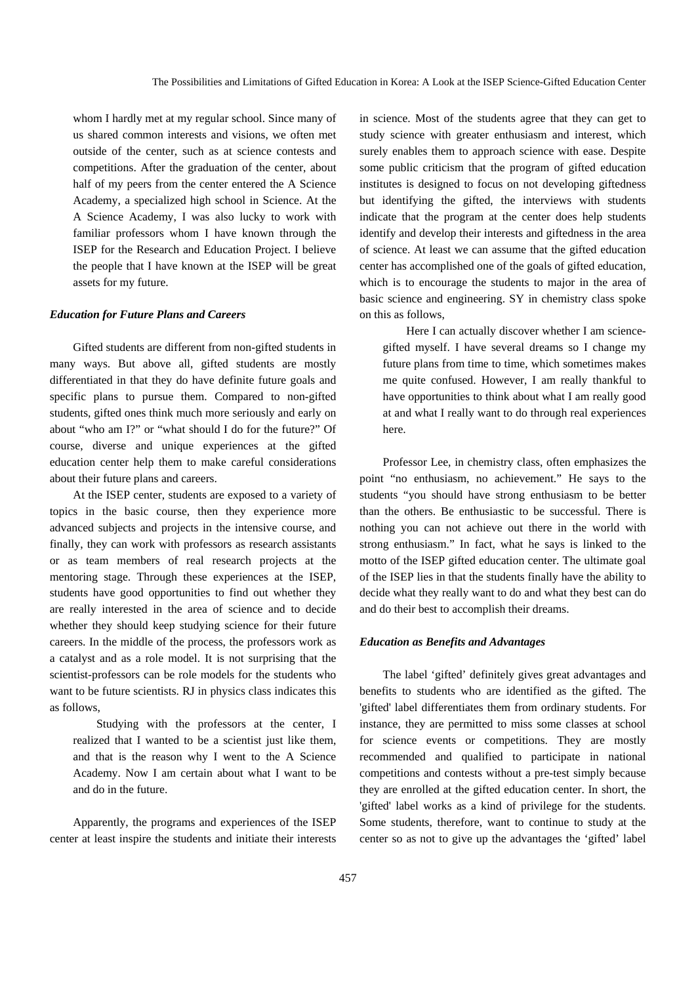whom I hardly met at my regular school. Since many of us shared common interests and visions, we often met outside of the center, such as at science contests and competitions. After the graduation of the center, about half of my peers from the center entered the A Science Academy, a specialized high school in Science. At the A Science Academy, I was also lucky to work with familiar professors whom I have known through the ISEP for the Research and Education Project. I believe the people that I have known at the ISEP will be great assets for my future.

#### *Education for Future Plans and Careers*

Gifted students are different from non-gifted students in many ways. But above all, gifted students are mostly differentiated in that they do have definite future goals and specific plans to pursue them. Compared to non-gifted students, gifted ones think much more seriously and early on about "who am I?" or "what should I do for the future?" Of course, diverse and unique experiences at the gifted education center help them to make careful considerations about their future plans and careers.

At the ISEP center, students are exposed to a variety of topics in the basic course, then they experience more advanced subjects and projects in the intensive course, and finally, they can work with professors as research assistants or as team members of real research projects at the mentoring stage. Through these experiences at the ISEP, students have good opportunities to find out whether they are really interested in the area of science and to decide whether they should keep studying science for their future careers. In the middle of the process, the professors work as a catalyst and as a role model. It is not surprising that the scientist-professors can be role models for the students who want to be future scientists. RJ in physics class indicates this as follows,

Studying with the professors at the center, I realized that I wanted to be a scientist just like them, and that is the reason why I went to the A Science Academy. Now I am certain about what I want to be and do in the future.

Apparently, the programs and experiences of the ISEP center at least inspire the students and initiate their interests in science. Most of the students agree that they can get to study science with greater enthusiasm and interest, which surely enables them to approach science with ease. Despite some public criticism that the program of gifted education institutes is designed to focus on not developing giftedness but identifying the gifted, the interviews with students indicate that the program at the center does help students identify and develop their interests and giftedness in the area of science. At least we can assume that the gifted education center has accomplished one of the goals of gifted education, which is to encourage the students to major in the area of basic science and engineering. SY in chemistry class spoke on this as follows,

Here I can actually discover whether I am sciencegifted myself. I have several dreams so I change my future plans from time to time, which sometimes makes me quite confused. However, I am really thankful to have opportunities to think about what I am really good at and what I really want to do through real experiences here.

Professor Lee, in chemistry class, often emphasizes the point "no enthusiasm, no achievement." He says to the students "you should have strong enthusiasm to be better than the others. Be enthusiastic to be successful. There is nothing you can not achieve out there in the world with strong enthusiasm." In fact, what he says is linked to the motto of the ISEP gifted education center. The ultimate goal of the ISEP lies in that the students finally have the ability to decide what they really want to do and what they best can do and do their best to accomplish their dreams.

#### *Education as Benefits and Advantages*

The label 'gifted' definitely gives great advantages and benefits to students who are identified as the gifted. The 'gifted' label differentiates them from ordinary students. For instance, they are permitted to miss some classes at school for science events or competitions. They are mostly recommended and qualified to participate in national competitions and contests without a pre-test simply because they are enrolled at the gifted education center. In short, the 'gifted' label works as a kind of privilege for the students. Some students, therefore, want to continue to study at the center so as not to give up the advantages the 'gifted' label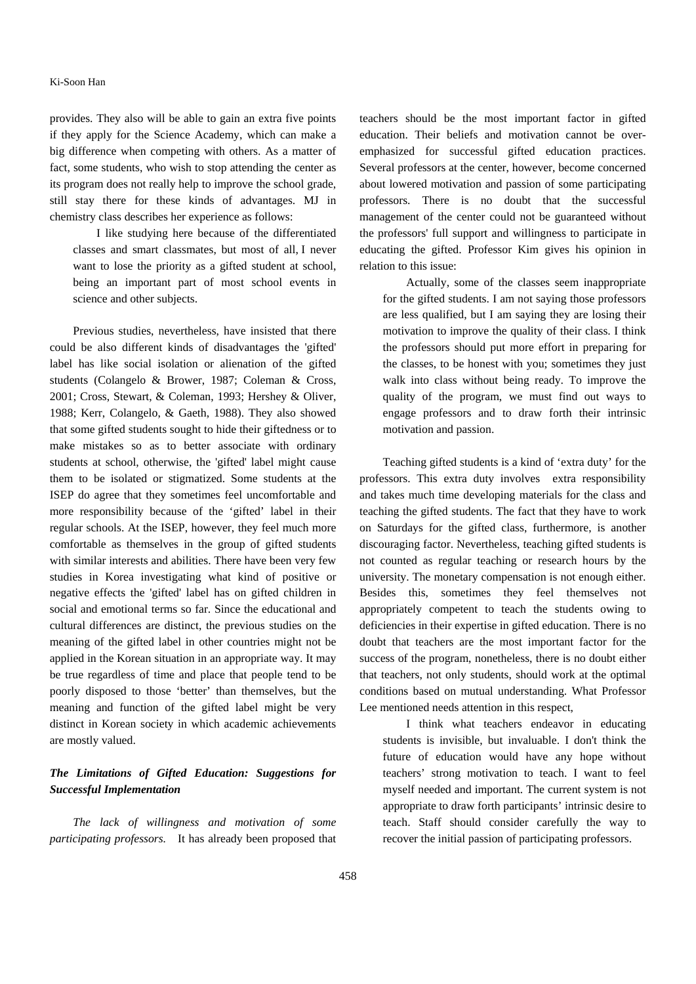## Ki-Soon Han

provides. They also will be able to gain an extra five points if they apply for the Science Academy, which can make a big difference when competing with others. As a matter of fact, some students, who wish to stop attending the center as its program does not really help to improve the school grade, still stay there for these kinds of advantages. MJ in chemistry class describes her experience as follows:

I like studying here because of the differentiated classes and smart classmates, but most of all, I never want to lose the priority as a gifted student at school, being an important part of most school events in science and other subjects.

Previous studies, nevertheless, have insisted that there could be also different kinds of disadvantages the 'gifted' label has like social isolation or alienation of the gifted students (Colangelo & Brower, 1987; Coleman & Cross, 2001; Cross, Stewart, & Coleman, 1993; Hershey & Oliver, 1988; Kerr, Colangelo, & Gaeth, 1988). They also showed that some gifted students sought to hide their giftedness or to make mistakes so as to better associate with ordinary students at school, otherwise, the 'gifted' label might cause them to be isolated or stigmatized. Some students at the ISEP do agree that they sometimes feel uncomfortable and more responsibility because of the 'gifted' label in their regular schools. At the ISEP, however, they feel much more comfortable as themselves in the group of gifted students with similar interests and abilities. There have been very few studies in Korea investigating what kind of positive or negative effects the 'gifted' label has on gifted children in social and emotional terms so far. Since the educational and cultural differences are distinct, the previous studies on the meaning of the gifted label in other countries might not be applied in the Korean situation in an appropriate way. It may be true regardless of time and place that people tend to be poorly disposed to those 'better' than themselves, but the meaning and function of the gifted label might be very distinct in Korean society in which academic achievements are mostly valued.

# *The Limitations of Gifted Education: Suggestions for Successful Implementation*

*The lack of willingness and motivation of some participating professors.* It has already been proposed that teachers should be the most important factor in gifted education. Their beliefs and motivation cannot be overemphasized for successful gifted education practices. Several professors at the center, however, become concerned about lowered motivation and passion of some participating professors. There is no doubt that the successful management of the center could not be guaranteed without the professors' full support and willingness to participate in educating the gifted. Professor Kim gives his opinion in relation to this issue:

Actually, some of the classes seem inappropriate for the gifted students. I am not saying those professors are less qualified, but I am saying they are losing their motivation to improve the quality of their class. I think the professors should put more effort in preparing for the classes, to be honest with you; sometimes they just walk into class without being ready. To improve the quality of the program, we must find out ways to engage professors and to draw forth their intrinsic motivation and passion.

Teaching gifted students is a kind of 'extra duty' for the professors. This extra duty involves extra responsibility and takes much time developing materials for the class and teaching the gifted students. The fact that they have to work on Saturdays for the gifted class, furthermore, is another discouraging factor. Nevertheless, teaching gifted students is not counted as regular teaching or research hours by the university. The monetary compensation is not enough either. Besides this, sometimes they feel themselves not appropriately competent to teach the students owing to deficiencies in their expertise in gifted education. There is no doubt that teachers are the most important factor for the success of the program, nonetheless, there is no doubt either that teachers, not only students, should work at the optimal conditions based on mutual understanding. What Professor Lee mentioned needs attention in this respect,

I think what teachers endeavor in educating students is invisible, but invaluable. I don't think the future of education would have any hope without teachers' strong motivation to teach. I want to feel myself needed and important. The current system is not appropriate to draw forth participants' intrinsic desire to teach. Staff should consider carefully the way to recover the initial passion of participating professors.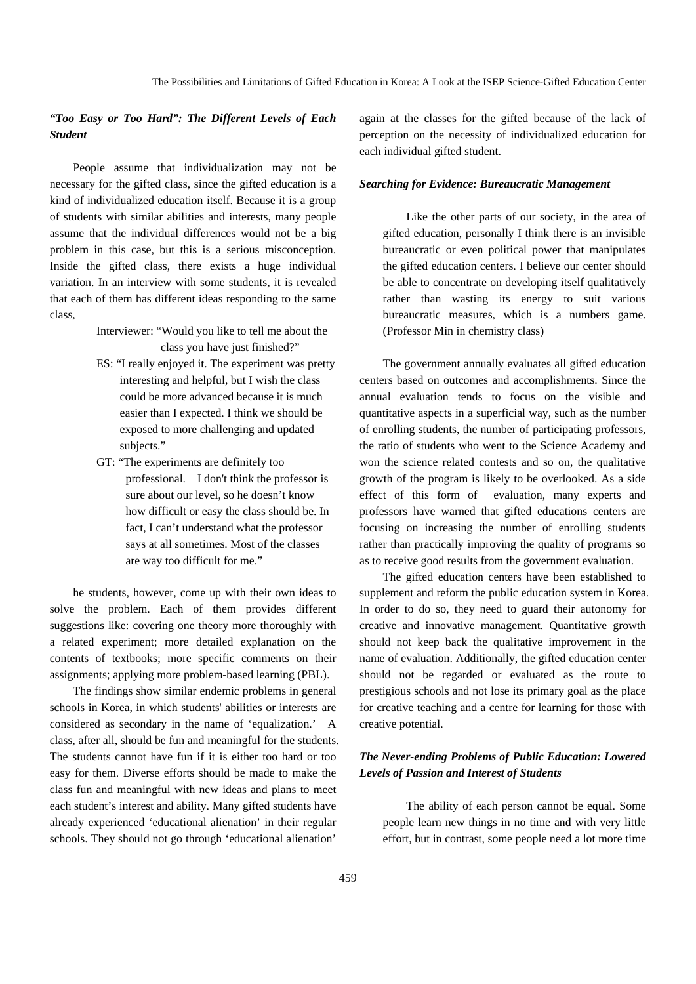# *"Too Easy or Too Hard": The Different Levels of Each Student*

People assume that individualization may not be necessary for the gifted class, since the gifted education is a kind of individualized education itself. Because it is a group of students with similar abilities and interests, many people assume that the individual differences would not be a big problem in this case, but this is a serious misconception. Inside the gifted class, there exists a huge individual variation. In an interview with some students, it is revealed that each of them has different ideas responding to the same class,

> Interviewer: "Would you like to tell me about the class you have just finished?"

- ES: "I really enjoyed it. The experiment was pretty interesting and helpful, but I wish the class could be more advanced because it is much easier than I expected. I think we should be exposed to more challenging and updated subjects."
- GT: "The experiments are definitely too professional. I don't think the professor is sure about our level, so he doesn't know how difficult or easy the class should be. In fact, I can't understand what the professor says at all sometimes. Most of the classes are way too difficult for me."

he students, however, come up with their own ideas to solve the problem. Each of them provides different suggestions like: covering one theory more thoroughly with a related experiment; more detailed explanation on the contents of textbooks; more specific comments on their assignments; applying more problem-based learning (PBL).

The findings show similar endemic problems in general schools in Korea, in which students' abilities or interests are considered as secondary in the name of 'equalization.' A class, after all, should be fun and meaningful for the students. The students cannot have fun if it is either too hard or too easy for them. Diverse efforts should be made to make the class fun and meaningful with new ideas and plans to meet each student's interest and ability. Many gifted students have already experienced 'educational alienation' in their regular schools. They should not go through 'educational alienation'

again at the classes for the gifted because of the lack of perception on the necessity of individualized education for each individual gifted student.

#### *Searching for Evidence: Bureaucratic Management*

Like the other parts of our society, in the area of gifted education, personally I think there is an invisible bureaucratic or even political power that manipulates the gifted education centers. I believe our center should be able to concentrate on developing itself qualitatively rather than wasting its energy to suit various bureaucratic measures, which is a numbers game. (Professor Min in chemistry class)

The government annually evaluates all gifted education centers based on outcomes and accomplishments. Since the annual evaluation tends to focus on the visible and quantitative aspects in a superficial way, such as the number of enrolling students, the number of participating professors, the ratio of students who went to the Science Academy and won the science related contests and so on, the qualitative growth of the program is likely to be overlooked. As a side effect of this form of evaluation, many experts and professors have warned that gifted educations centers are focusing on increasing the number of enrolling students rather than practically improving the quality of programs so as to receive good results from the government evaluation.

The gifted education centers have been established to supplement and reform the public education system in Korea. In order to do so, they need to guard their autonomy for creative and innovative management. Quantitative growth should not keep back the qualitative improvement in the name of evaluation. Additionally, the gifted education center should not be regarded or evaluated as the route to prestigious schools and not lose its primary goal as the place for creative teaching and a centre for learning for those with creative potential.

# *The Never-ending Problems of Public Education: Lowered Levels of Passion and Interest of Students*

The ability of each person cannot be equal. Some people learn new things in no time and with very little effort, but in contrast, some people need a lot more time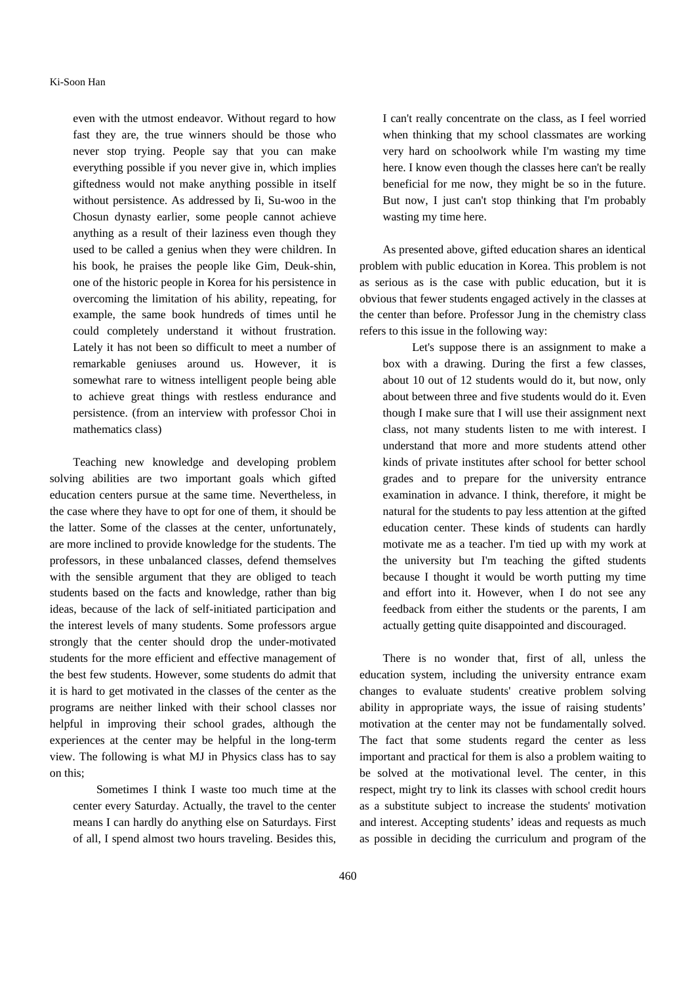even with the utmost endeavor. Without regard to how fast they are, the true winners should be those who never stop trying. People say that you can make everything possible if you never give in, which implies giftedness would not make anything possible in itself without persistence. As addressed by Ii, Su-woo in the Chosun dynasty earlier, some people cannot achieve anything as a result of their laziness even though they used to be called a genius when they were children. In his book, he praises the people like Gim, Deuk-shin, one of the historic people in Korea for his persistence in overcoming the limitation of his ability, repeating, for example, the same book hundreds of times until he could completely understand it without frustration. Lately it has not been so difficult to meet a number of remarkable geniuses around us. However, it is somewhat rare to witness intelligent people being able to achieve great things with restless endurance and persistence. (from an interview with professor Choi in mathematics class)

Teaching new knowledge and developing problem solving abilities are two important goals which gifted education centers pursue at the same time. Nevertheless, in the case where they have to opt for one of them, it should be the latter. Some of the classes at the center, unfortunately, are more inclined to provide knowledge for the students. The professors, in these unbalanced classes, defend themselves with the sensible argument that they are obliged to teach students based on the facts and knowledge, rather than big ideas, because of the lack of self-initiated participation and the interest levels of many students. Some professors argue strongly that the center should drop the under-motivated students for the more efficient and effective management of the best few students. However, some students do admit that it is hard to get motivated in the classes of the center as the programs are neither linked with their school classes nor helpful in improving their school grades, although the experiences at the center may be helpful in the long-term view. The following is what MJ in Physics class has to say on this;

Sometimes I think I waste too much time at the center every Saturday. Actually, the travel to the center means I can hardly do anything else on Saturdays. First of all, I spend almost two hours traveling. Besides this,

I can't really concentrate on the class, as I feel worried when thinking that my school classmates are working very hard on schoolwork while I'm wasting my time here. I know even though the classes here can't be really beneficial for me now, they might be so in the future. But now, I just can't stop thinking that I'm probably wasting my time here.

As presented above, gifted education shares an identical problem with public education in Korea. This problem is not as serious as is the case with public education, but it is obvious that fewer students engaged actively in the classes at the center than before. Professor Jung in the chemistry class refers to this issue in the following way:

 Let's suppose there is an assignment to make a box with a drawing. During the first a few classes, about 10 out of 12 students would do it, but now, only about between three and five students would do it. Even though I make sure that I will use their assignment next class, not many students listen to me with interest. I understand that more and more students attend other kinds of private institutes after school for better school grades and to prepare for the university entrance examination in advance. I think, therefore, it might be natural for the students to pay less attention at the gifted education center. These kinds of students can hardly motivate me as a teacher. I'm tied up with my work at the university but I'm teaching the gifted students because I thought it would be worth putting my time and effort into it. However, when I do not see any feedback from either the students or the parents, I am actually getting quite disappointed and discouraged.

There is no wonder that, first of all, unless the education system, including the university entrance exam changes to evaluate students' creative problem solving ability in appropriate ways, the issue of raising students' motivation at the center may not be fundamentally solved. The fact that some students regard the center as less important and practical for them is also a problem waiting to be solved at the motivational level. The center, in this respect, might try to link its classes with school credit hours as a substitute subject to increase the students' motivation and interest. Accepting students' ideas and requests as much as possible in deciding the curriculum and program of the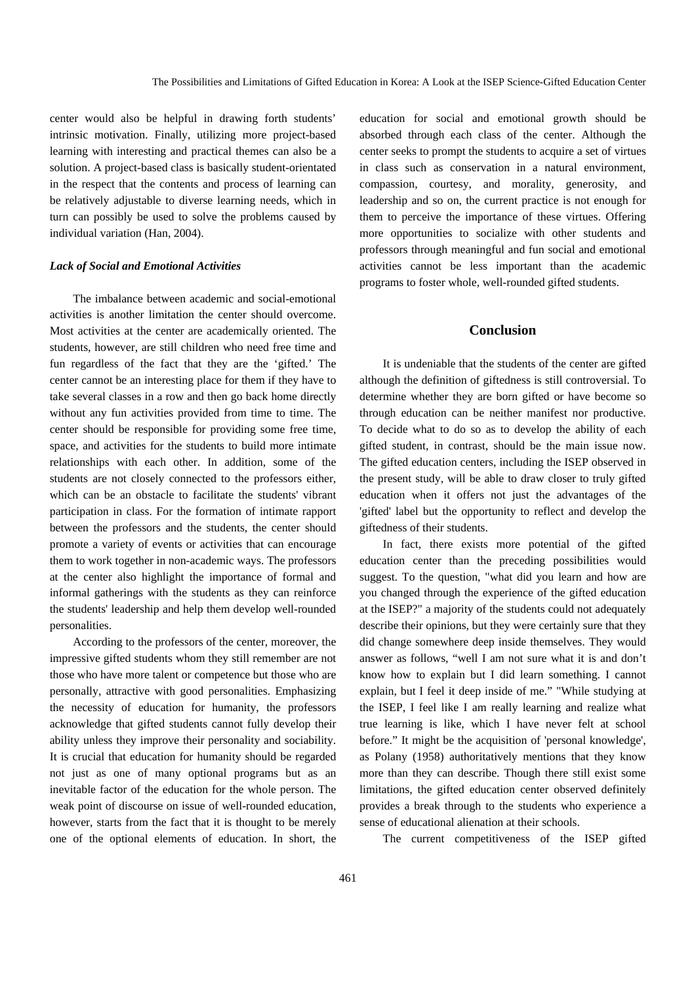center would also be helpful in drawing forth students' intrinsic motivation. Finally, utilizing more project-based learning with interesting and practical themes can also be a solution. A project-based class is basically student-orientated in the respect that the contents and process of learning can be relatively adjustable to diverse learning needs, which in turn can possibly be used to solve the problems caused by individual variation (Han, 2004).

#### *Lack of Social and Emotional Activities*

The imbalance between academic and social-emotional activities is another limitation the center should overcome. Most activities at the center are academically oriented. The students, however, are still children who need free time and fun regardless of the fact that they are the 'gifted.' The center cannot be an interesting place for them if they have to take several classes in a row and then go back home directly without any fun activities provided from time to time. The center should be responsible for providing some free time, space, and activities for the students to build more intimate relationships with each other. In addition, some of the students are not closely connected to the professors either, which can be an obstacle to facilitate the students' vibrant participation in class. For the formation of intimate rapport between the professors and the students, the center should promote a variety of events or activities that can encourage them to work together in non-academic ways. The professors at the center also highlight the importance of formal and informal gatherings with the students as they can reinforce the students' leadership and help them develop well-rounded personalities.

According to the professors of the center, moreover, the impressive gifted students whom they still remember are not those who have more talent or competence but those who are personally, attractive with good personalities. Emphasizing the necessity of education for humanity, the professors acknowledge that gifted students cannot fully develop their ability unless they improve their personality and sociability. It is crucial that education for humanity should be regarded not just as one of many optional programs but as an inevitable factor of the education for the whole person. The weak point of discourse on issue of well-rounded education, however, starts from the fact that it is thought to be merely one of the optional elements of education. In short, the

education for social and emotional growth should be absorbed through each class of the center. Although the center seeks to prompt the students to acquire a set of virtues in class such as conservation in a natural environment, compassion, courtesy, and morality, generosity, and leadership and so on, the current practice is not enough for them to perceive the importance of these virtues. Offering more opportunities to socialize with other students and professors through meaningful and fun social and emotional activities cannot be less important than the academic programs to foster whole, well-rounded gifted students.

# **Conclusion**

It is undeniable that the students of the center are gifted although the definition of giftedness is still controversial. To determine whether they are born gifted or have become so through education can be neither manifest nor productive. To decide what to do so as to develop the ability of each gifted student, in contrast, should be the main issue now. The gifted education centers, including the ISEP observed in the present study, will be able to draw closer to truly gifted education when it offers not just the advantages of the 'gifted' label but the opportunity to reflect and develop the giftedness of their students.

In fact, there exists more potential of the gifted education center than the preceding possibilities would suggest. To the question, "what did you learn and how are you changed through the experience of the gifted education at the ISEP?" a majority of the students could not adequately describe their opinions, but they were certainly sure that they did change somewhere deep inside themselves. They would answer as follows, "well I am not sure what it is and don't know how to explain but I did learn something. I cannot explain, but I feel it deep inside of me." "While studying at the ISEP, I feel like I am really learning and realize what true learning is like, which I have never felt at school before." It might be the acquisition of 'personal knowledge', as Polany (1958) authoritatively mentions that they know more than they can describe. Though there still exist some limitations, the gifted education center observed definitely provides a break through to the students who experience a sense of educational alienation at their schools.

The current competitiveness of the ISEP gifted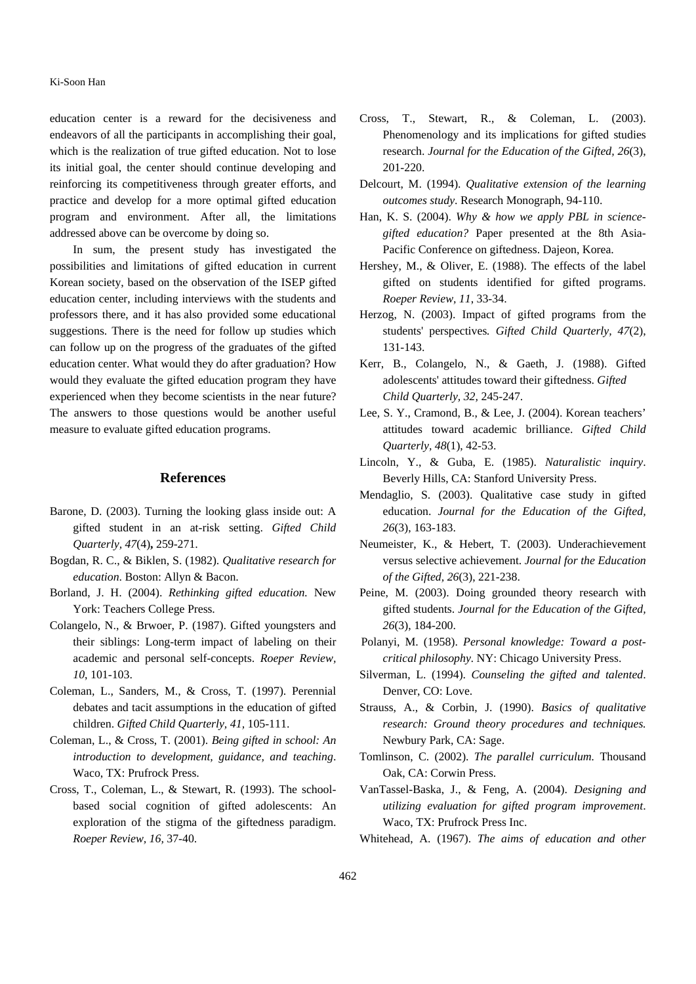## Ki-Soon Han

education center is a reward for the decisiveness and endeavors of all the participants in accomplishing their goal, which is the realization of true gifted education. Not to lose its initial goal, the center should continue developing and reinforcing its competitiveness through greater efforts, and practice and develop for a more optimal gifted education program and environment. After all, the limitations addressed above can be overcome by doing so.

In sum, the present study has investigated the possibilities and limitations of gifted education in current Korean society, based on the observation of the ISEP gifted education center, including interviews with the students and professors there, and it has also provided some educational suggestions. There is the need for follow up studies which can follow up on the progress of the graduates of the gifted education center. What would they do after graduation? How would they evaluate the gifted education program they have experienced when they become scientists in the near future? The answers to those questions would be another useful measure to evaluate gifted education programs.

# **References**

- Barone, D. (2003). Turning the looking glass inside out: A gifted student in an at-risk setting. *Gifted Child Quarterly, 47*(4)**,** 259-271.
- Bogdan, R. C., & Biklen, S. (1982). *Qualitative research for education*. Boston: Allyn & Bacon.
- Borland, J. H. (2004). *Rethinking gifted education.* New York: Teachers College Press.
- Colangelo, N., & Brwoer, P. (1987). Gifted youngsters and their siblings: Long-term impact of labeling on their academic and personal self-concepts. *Roeper Review, 10*, 101-103.
- Coleman, L., Sanders, M., & Cross, T. (1997). Perennial debates and tacit assumptions in the education of gifted children. *Gifted Child Quarterly, 41,* 105-111.
- Coleman, L., & Cross, T. (2001). *Being gifted in school: An introduction to development, guidance, and teaching*. Waco, TX: Prufrock Press.
- Cross, T., Coleman, L., & Stewart, R. (1993). The schoolbased social cognition of gifted adolescents: An exploration of the stigma of the giftedness paradigm. *Roeper Review, 16,* 37-40.
- Cross, T., Stewart, R., & Coleman, L. (2003). Phenomenology and its implications for gifted studies research. *Journal for the Education of the Gifted, 26*(3), 201-220.
- Delcourt, M. (1994). *Qualitative extension of the learning outcomes study*. Research Monograph, 94-110.
- Han, K. S. (2004). *Why & how we apply PBL in sciencegifted education?* Paper presented at the 8th Asia-Pacific Conference on giftedness. Dajeon, Korea.
- Hershey, M., & Oliver, E. (1988). The effects of the label gifted on students identified for gifted programs. *Roeper Review, 11*, 33-34.
- Herzog, N. (2003). Impact of gifted programs from the students' perspectives*. Gifted Child Quarterly, 47*(2), 131-143.
- Kerr, B., Colangelo, N., & Gaeth, J. (1988). Gifted adolescents' attitudes toward their giftedness. *Gifted Child Quarterly, 32,* 245-247.
- Lee, S. Y., Cramond, B., & Lee, J. (2004). Korean teachers' attitudes toward academic brilliance. *Gifted Child Quarterly, 48*(1), 42-53.
- Lincoln, Y., & Guba, E. (1985). *Naturalistic inquiry*. Beverly Hills, CA: Stanford University Press.
- Mendaglio, S. (2003). Qualitative case study in gifted education. *Journal for the Education of the Gifted, 26*(3), 163-183.
- Neumeister, K., & Hebert, T. (2003). Underachievement versus selective achievement. *Journal for the Education of the Gifted, 26*(3), 221-238.
- Peine, M. (2003). Doing grounded theory research with gifted students. *Journal for the Education of the Gifted, 26*(3), 184-200.
- Polanyi, M. (1958). *Personal knowledge: Toward a postcritical philosophy.* NY: Chicago University Press.
- Silverman, L. (1994). *Counseling the gifted and talented*. Denver, CO: Love.
- Strauss, A., & Corbin, J. (1990). *Basics of qualitative research: Ground theory procedures and techniques.* Newbury Park, CA: Sage.
- Tomlinson, C. (2002). *The parallel curriculum.* Thousand Oak, CA: Corwin Press.
- VanTassel-Baska, J., & Feng, A. (2004). *Designing and utilizing evaluation for gifted program improvement*. Waco, TX: Prufrock Press Inc.
- Whitehead, A. (1967). *The aims of education and other*